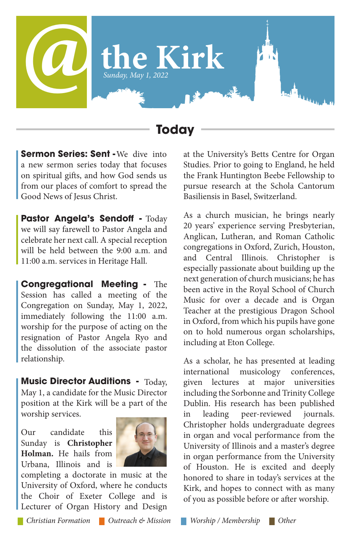

## **Today**

Sermon Series: Sent - We dive into a new sermon series today that focuses on spiritual gifts, and how God sends us from our places of comfort to spread the Good News of Jesus Christ.

**Pastor Angela's Sendoff - Today** we will say farewell to Pastor Angela and celebrate her next call. A special reception will be held between the 9:00 a.m. and 11:00 a.m. services in Heritage Hall.

**Congregational Meeting - The** Session has called a meeting of the Congregation on Sunday, May 1, 2022, immediately following the 11:00 a.m. worship for the purpose of acting on the resignation of Pastor Angela Ryo and the dissolution of the associate pastor relationship.

**Music Director Auditions - Today,** May 1, a candidate for the Music Director position at the Kirk will be a part of the worship services.

Our candidate this Sunday is **Christopher Holman.** He hails from Urbana, Illinois and is



completing a doctorate in music at the University of Oxford, where he conducts the Choir of Exeter College and is Lecturer of Organ History and Design

at the University's Betts Centre for Organ Studies. Prior to going to England, he held the Frank Huntington Beebe Fellowship to pursue research at the Schola Cantorum Basiliensis in Basel, Switzerland.

As a church musician, he brings nearly 20 years' experience serving Presbyterian, Anglican, Lutheran, and Roman Catholic congregations in Oxford, Zurich, Houston, and Central Illinois. Christopher especially passionate about building up the next generation of church musicians; he has been active in the Royal School of Church Music for over a decade and is Organ Teacher at the prestigious Dragon School in Oxford, from which his pupils have gone on to hold numerous organ scholarships, including at Eton College.

As a scholar, he has presented at leading international musicology conferences, given lectures at major universities including the Sorbonne and Trinity College Dublin. His research has been published in leading peer-reviewed journals. Christopher holds undergraduate degrees in organ and vocal performance from the University of Illinois and a master's degree in organ performance from the University of Houston. He is excited and deeply honored to share in today's services at the Kirk, and hopes to connect with as many of you as possible before or after worship.

*Christian Formation Outreach & Mission Worship / Membership Other*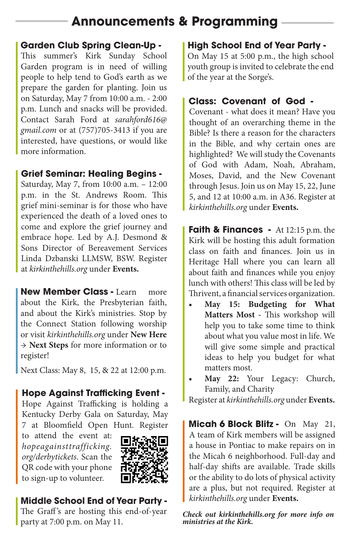# **Announcements & Programming**

### **Garden Club Spring Clean-Up -**

This summer's Kirk Sunday School Garden program is in need of willing people to help tend to God's earth as we prepare the garden for planting. Join us on Saturday, May 7 from 10:00 a.m. - 2:00 p.m. Lunch and snacks will be provided. Contact Sarah Ford at *sarahford616@ gmail.com* or at (757)705-3413 if you are interested, have questions, or would like more information.

### **Grief Seminar: Healing Begins -**

Saturday, May 7, from 10:00 a.m. – 12:00 p.m. in the St. Andrews Room. This grief mini-seminar is for those who have experienced the death of a loved ones to come and explore the grief journey and embrace hope. Led by A.J. Desmond & Sons Director of Bereavement Services Linda Dzbanski LLMSW, BSW. Register at *kirkinthehills.org* under **Events.**

New Member Class - Learn more about the Kirk, the Presbyterian faith, and about the Kirk's ministries. Stop by the Connect Station following worship or visit *kirkinthehills.org* under **New Here** → **Next Steps** for more information or to register!

Next Class: May 8, 15, & 22 at 12:00 p.m.

# **Hope Against Trafficking Event -**

Hope Against Trafficking is holding a Kentucky Derby Gala on Saturday, May 7 at Bloomfield Open Hunt. Register

to attend the event at: *hopeagainsttrafficking. org/derbytickets*. Scan the QR code with your phone to sign-up to volunteer.



# **Middle School End of Year Party -**

The Graff's are hosting this end-of-year party at 7:00 p.m. on May 11.

## **High School End of Year Party -**

On May 15 at 5:00 p.m., the high school youth group is invited to celebrate the end of the year at the Sorge's.

## **Class: Covenant of God -**

Covenant - what does it mean? Have you thought of an overarching theme in the Bible? Is there a reason for the characters in the Bible, and why certain ones are highlighted? We will study the Covenants of God with Adam, Noah, Abraham, Moses, David, and the New Covenant through Jesus. Join us on May 15, 22, June 5, and 12 at 10:00 a.m. in A36. Register at *kirkinthehills.org* under **Events.**

**Faith & Finances -** At 12:15 p.m. the Kirk will be hosting this adult formation class on faith and finances. Join us in Heritage Hall where you can learn all about faith and finances while you enjoy lunch with others! This class will be led by Thrivent, a financial services organization.

- **• May 15: Budgeting for What Matters Most - This workshop will** help you to take some time to think about what you value most in life. We will give some simple and practical ideas to help you budget for what matters most.
- **• May 22:** Your Legacy: Church, Family, and Charity

Register at *kirkinthehills.org* under **Events.**

**Micah 6 Block Blitz - On May 21,** A team of Kirk members will be assigned a house in Pontiac to make repairs on in the Micah 6 neighborhood. Full-day and half-day shifts are available. Trade skills or the ability to do lots of physical activity are a plus, but not required. Register at *kirkinthehills.org* under **Events.**

*Check out kirkinthehills.org for more info on ministries at the Kirk.*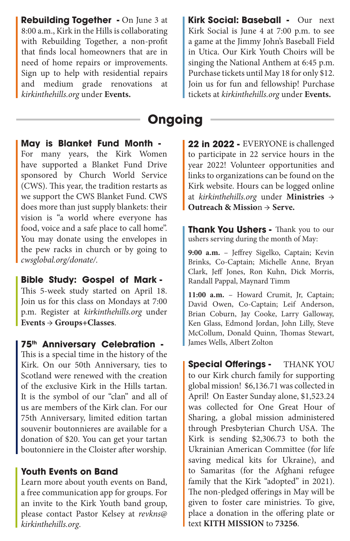**Rebuilding Together - On June 3 at | Kirk Social: Baseball -**8:00 a.m., Kirk in the Hills is collaborating with Rebuilding Together, a non-profit that finds local homeowners that are in need of home repairs or improvements. Sign up to help with residential repairs and medium grade renovations at *kirkinthehills.org* under **Events.**

Kirk Social: Baseball - Our next Kirk Social is June 4 at 7:00 p.m. to see a game at the Jimmy John's Baseball Field in Utica. Our Kirk Youth Choirs will be singing the National Anthem at 6:45 p.m. Purchase tickets until May 18 for only \$12. Join us for fun and fellowship! Purchase tickets at *kirkinthehills.org* under **Events.**

# **Ongoing**

**May is Blanket Fund Month -**

For many years, the Kirk Women have supported a Blanket Fund Drive sponsored by Church World Service (CWS). This year, the tradition restarts as we support the CWS Blanket Fund. CWS does more than just supply blankets: their vision is "a world where everyone has food, voice and a safe place to call home". You may donate using the envelopes in the pew racks in church or by going to *cwsglobal.org/donate/.*

This 5-week study started on April 18. Join us for this class on Mondays at 7:00 **Bible Study: Gospel of Mark -** 

p.m. Register at *kirkinthehills.org* under **Events** → **Groups+Classes**.

#### **75th Anniversary Celebration -**

This is a special time in the history of the Kirk. On our 50th Anniversary, ties to Scotland were renewed with the creation of the exclusive Kirk in the Hills tartan. It is the symbol of our "clan" and all of us are members of the Kirk clan. For our 75th Anniversary, limited edition tartan souvenir boutonnieres are available for a donation of \$20. You can get your tartan boutonniere in the Cloister after worship.

#### **Youth Events on Band**

Learn more about youth events on Band, a free communication app for groups. For an invite to the Kirk Youth band group, please contact Pastor Kelsey at *revkns@ kirkinthehills.org*.

22 in 2022 - EVERYONE is challenged to participate in 22 service hours in the year 2022! Volunteer opportunities and links to organizations can be found on the Kirk website. Hours can be logged online at *kirkinthehills.org* under **Ministries** → **Outreach & Missio**n → **Serve.**

**Thank You Ushers - Thank you to our** ushers serving during the month of May:

9:00 a.m. - Jeffrey Sigelko, Captain; Kevin Brinks, Co-Captain; Michelle Anne, Bryan Clark, Jeff Jones, Ron Kuhn, Dick Morris, Randall Pappal, Maynard Timm

**11:00 a.m.** – Howard Crumit, Jr, Captain; David Owen, Co-Captain; Leif Anderson, Brian Coburn, Jay Cooke, Larry Galloway, Ken Glass, Edmond Jordan, John Lilly, Steve McCollum, Donald Quinn, Thomas Stewart, James Wells, Albert Zolton

**Special Offerings -** THANK YOU to our Kirk church family for supporting global mission! \$6,136.71 was collected in April! On Easter Sunday alone, \$1,523.24 was collected for One Great Hour of Sharing, a global mission administered through Presbyterian Church USA. The Kirk is sending \$2,306.73 to both the Ukrainian American Committee (for life saving medical kits for Ukraine), and to Samaritas (for the Afghani refugee family that the Kirk "adopted" in 2021). The non-pledged offerings in May will be given to foster care ministries. To give, place a donation in the offering plate or text **KITH MISSION** to **73256**.